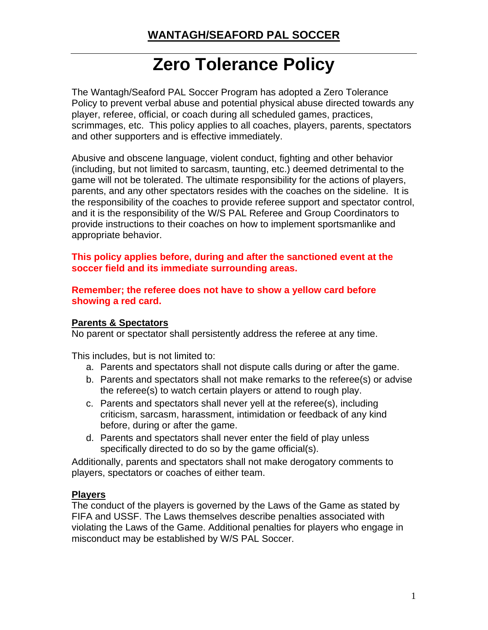# **Zero Tolerance Policy**

The Wantagh/Seaford PAL Soccer Program has adopted a Zero Tolerance Policy to prevent verbal abuse and potential physical abuse directed towards any player, referee, official, or coach during all scheduled games, practices, scrimmages, etc. This policy applies to all coaches, players, parents, spectators and other supporters and is effective immediately.

Abusive and obscene language, violent conduct, fighting and other behavior (including, but not limited to sarcasm, taunting, etc.) deemed detrimental to the game will not be tolerated. The ultimate responsibility for the actions of players, parents, and any other spectators resides with the coaches on the sideline. It is the responsibility of the coaches to provide referee support and spectator control, and it is the responsibility of the W/S PAL Referee and Group Coordinators to provide instructions to their coaches on how to implement sportsmanlike and appropriate behavior.

**This policy applies before, during and after the sanctioned event at the soccer field and its immediate surrounding areas.** 

**Remember; the referee does not have to show a yellow card before showing a red card.** 

## **Parents & Spectators**

No parent or spectator shall persistently address the referee at any time.

This includes, but is not limited to:

- a. Parents and spectators shall not dispute calls during or after the game.
- b. Parents and spectators shall not make remarks to the referee(s) or advise the referee(s) to watch certain players or attend to rough play.
- c. Parents and spectators shall never yell at the referee(s), including criticism, sarcasm, harassment, intimidation or feedback of any kind before, during or after the game.
- d. Parents and spectators shall never enter the field of play unless specifically directed to do so by the game official(s).

Additionally, parents and spectators shall not make derogatory comments to players, spectators or coaches of either team.

## **Players**

The conduct of the players is governed by the Laws of the Game as stated by FIFA and USSF. The Laws themselves describe penalties associated with violating the Laws of the Game. Additional penalties for players who engage in misconduct may be established by W/S PAL Soccer.